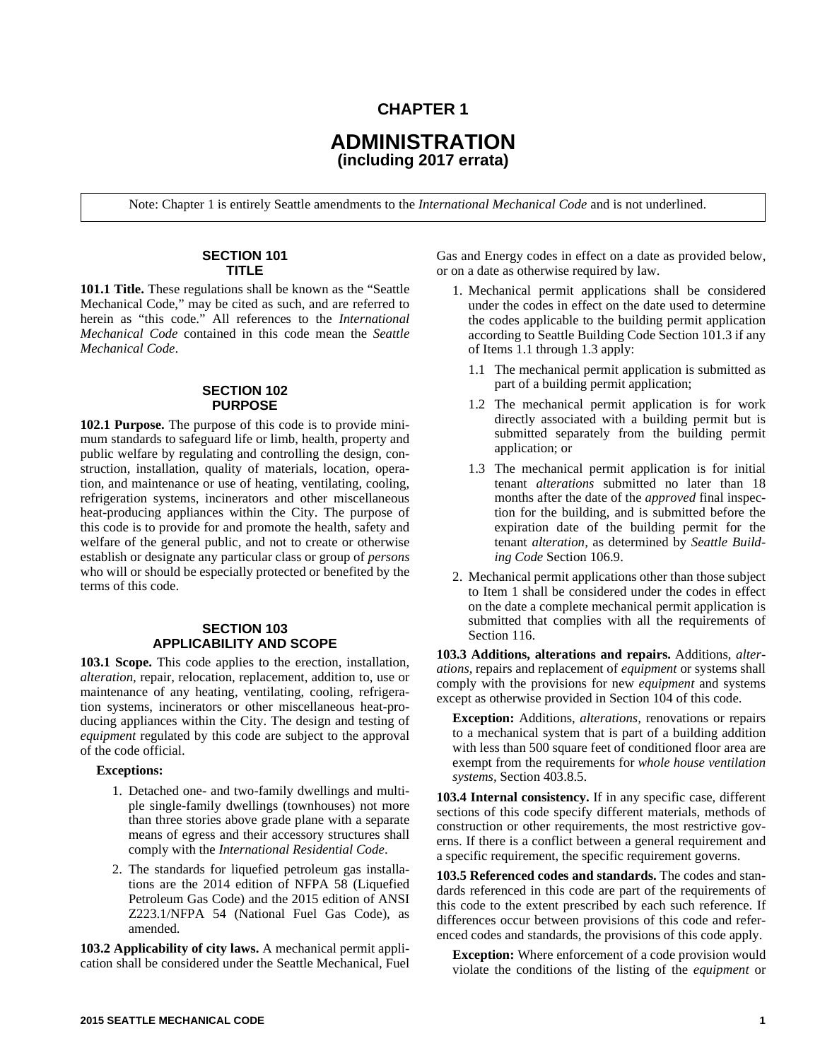## **CHAPTER 1**

# **ADMINISTRATION (including 2017 errata)**

Note: Chapter 1 is entirely Seattle amendments to the *International Mechanical Code* and is not underlined.

#### **SECTION 101 TITLE**

**101.1 Title.** These regulations shall be known as the "Seattle Mechanical Code," may be cited as such, and are referred to herein as "this code." All references to the *International Mechanical Code* contained in this code mean the *Seattle Mechanical Code*.

#### **SECTION 102 PURPOSE**

**102.1 Purpose.** The purpose of this code is to provide minimum standards to safeguard life or limb, health, property and public welfare by regulating and controlling the design, construction, installation, quality of materials, location, operation, and maintenance or use of heating, ventilating, cooling, refrigeration systems, incinerators and other miscellaneous heat-producing appliances within the City. The purpose of this code is to provide for and promote the health, safety and welfare of the general public, and not to create or otherwise establish or designate any particular class or group of *persons* who will or should be especially protected or benefited by the terms of this code.

### **SECTION 103 APPLICABILITY AND SCOPE**

**103.1 Scope.** This code applies to the erection, installation, *alteration,* repair, relocation, replacement, addition to, use or maintenance of any heating, ventilating, cooling, refrigeration systems, incinerators or other miscellaneous heat-producing appliances within the City. The design and testing of *equipment* regulated by this code are subject to the approval of the code official.

#### **Exceptions:**

- 1. Detached one- and two-family dwellings and multiple single-family dwellings (townhouses) not more than three stories above grade plane with a separate means of egress and their accessory structures shall comply with the *International Residential Code*.
- 2. The standards for liquefied petroleum gas installations are the 2014 edition of NFPA 58 (Liquefied Petroleum Gas Code) and the 2015 edition of ANSI Z223.1/NFPA 54 (National Fuel Gas Code), as amended.

**103.2 Applicability of city laws.** A mechanical permit application shall be considered under the Seattle Mechanical, Fuel Gas and Energy codes in effect on a date as provided below, or on a date as otherwise required by law.

- 1. Mechanical permit applications shall be considered under the codes in effect on the date used to determine the codes applicable to the building permit application according to Seattle Building Code Section 101.3 if any of Items 1.1 through 1.3 apply:
	- 1.1 The mechanical permit application is submitted as part of a building permit application;
	- 1.2 The mechanical permit application is for work directly associated with a building permit but is submitted separately from the building permit application; or
	- 1.3 The mechanical permit application is for initial tenant *alterations* submitted no later than 18 months after the date of the *approved* final inspection for the building, and is submitted before the expiration date of the building permit for the tenant *alteration,* as determined by *Seattle Building Code* Section 106.9.
- 2. Mechanical permit applications other than those subject to Item 1 shall be considered under the codes in effect on the date a complete mechanical permit application is submitted that complies with all the requirements of Section 116.

**103.3 Additions, alterations and repairs.** Additions, *alterations,* repairs and replacement of *equipment* or systems shall comply with the provisions for new *equipment* and systems except as otherwise provided in Section 104 of this code.

**Exception:** Additions, *alterations,* renovations or repairs to a mechanical system that is part of a building addition with less than 500 square feet of conditioned floor area are exempt from the requirements for *whole house ventilation systems,* Section 403.8.5.

**103.4 Internal consistency.** If in any specific case, different sections of this code specify different materials, methods of construction or other requirements, the most restrictive governs. If there is a conflict between a general requirement and a specific requirement, the specific requirement governs.

**103.5 Referenced codes and standards.** The codes and standards referenced in this code are part of the requirements of this code to the extent prescribed by each such reference. If differences occur between provisions of this code and referenced codes and standards, the provisions of this code apply.

**Exception:** Where enforcement of a code provision would violate the conditions of the listing of the *equipment* or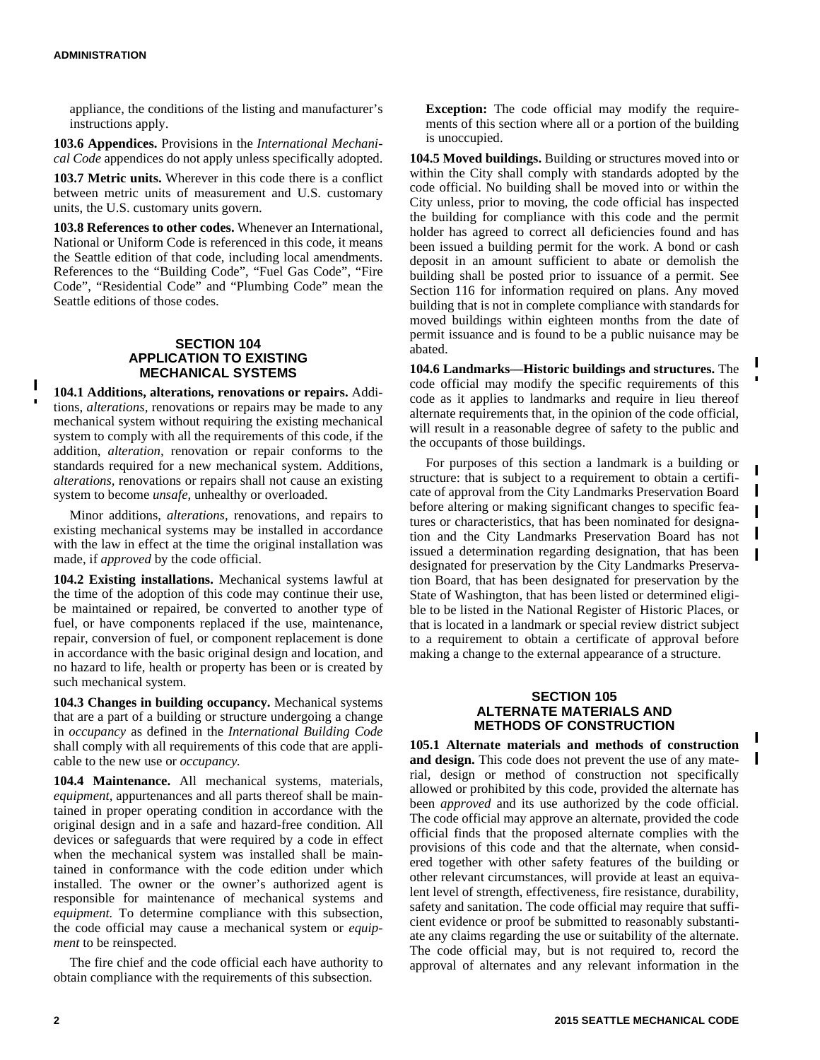appliance, the conditions of the listing and manufacturer's instructions apply.

**103.6 Appendices.** Provisions in the *International Mechanical Code* appendices do not apply unless specifically adopted.

**103.7 Metric units.** Wherever in this code there is a conflict between metric units of measurement and U.S. customary units, the U.S. customary units govern.

**103.8 References to other codes.** Whenever an International, National or Uniform Code is referenced in this code, it means the Seattle edition of that code, including local amendments. References to the "Building Code", "Fuel Gas Code", "Fire Code", "Residential Code" and "Plumbing Code" mean the Seattle editions of those codes.

#### **SECTION 104 APPLICATION TO EXISTING MECHANICAL SYSTEMS**

**104.1 Additions, alterations, renovations or repairs.** Additions, *alterations,* renovations or repairs may be made to any mechanical system without requiring the existing mechanical system to comply with all the requirements of this code, if the addition, *alteration,* renovation or repair conforms to the standards required for a new mechanical system. Additions, *alterations,* renovations or repairs shall not cause an existing system to become *unsafe,* unhealthy or overloaded.

Minor additions, *alterations,* renovations, and repairs to existing mechanical systems may be installed in accordance with the law in effect at the time the original installation was made, if *approved* by the code official.

**104.2 Existing installations.** Mechanical systems lawful at the time of the adoption of this code may continue their use, be maintained or repaired, be converted to another type of fuel, or have components replaced if the use, maintenance, repair, conversion of fuel, or component replacement is done in accordance with the basic original design and location, and no hazard to life, health or property has been or is created by such mechanical system.

**104.3 Changes in building occupancy.** Mechanical systems that are a part of a building or structure undergoing a change in *occupancy* as defined in the *International Building Code* shall comply with all requirements of this code that are applicable to the new use or *occupancy.*

**104.4 Maintenance.** All mechanical systems, materials, *equipment,* appurtenances and all parts thereof shall be maintained in proper operating condition in accordance with the original design and in a safe and hazard-free condition. All devices or safeguards that were required by a code in effect when the mechanical system was installed shall be maintained in conformance with the code edition under which installed. The owner or the owner's authorized agent is responsible for maintenance of mechanical systems and *equipment.* To determine compliance with this subsection, the code official may cause a mechanical system or *equipment* to be reinspected.

The fire chief and the code official each have authority to obtain compliance with the requirements of this subsection.

**Exception:** The code official may modify the requirements of this section where all or a portion of the building is unoccupied.

**104.5 Moved buildings.** Building or structures moved into or within the City shall comply with standards adopted by the code official. No building shall be moved into or within the City unless, prior to moving, the code official has inspected the building for compliance with this code and the permit holder has agreed to correct all deficiencies found and has been issued a building permit for the work. A bond or cash deposit in an amount sufficient to abate or demolish the building shall be posted prior to issuance of a permit. See Section 116 for information required on plans. Any moved building that is not in complete compliance with standards for moved buildings within eighteen months from the date of permit issuance and is found to be a public nuisance may be abated.

**104.6 Landmarks—Historic buildings and structures.** The code official may modify the specific requirements of this code as it applies to landmarks and require in lieu thereof alternate requirements that, in the opinion of the code official, will result in a reasonable degree of safety to the public and the occupants of those buildings.

For purposes of this section a landmark is a building or structure: that is subject to a requirement to obtain a certificate of approval from the City Landmarks Preservation Board before altering or making significant changes to specific features or characteristics, that has been nominated for designation and the City Landmarks Preservation Board has not issued a determination regarding designation, that has been designated for preservation by the City Landmarks Preservation Board, that has been designated for preservation by the State of Washington, that has been listed or determined eligible to be listed in the National Register of Historic Places, or that is located in a landmark or special review district subject to a requirement to obtain a certificate of approval before making a change to the external appearance of a structure.

L

 $\blacksquare$ L

#### **SECTION 105 ALTERNATE MATERIALS AND METHODS OF CONSTRUCTION**

**105.1 Alternate materials and methods of construction and design.** This code does not prevent the use of any material, design or method of construction not specifically allowed or prohibited by this code, provided the alternate has been *approved* and its use authorized by the code official. The code official may approve an alternate, provided the code official finds that the proposed alternate complies with the provisions of this code and that the alternate, when considered together with other safety features of the building or other relevant circumstances, will provide at least an equivalent level of strength, effectiveness, fire resistance, durability, safety and sanitation. The code official may require that sufficient evidence or proof be submitted to reasonably substantiate any claims regarding the use or suitability of the alternate. The code official may, but is not required to, record the approval of alternates and any relevant information in the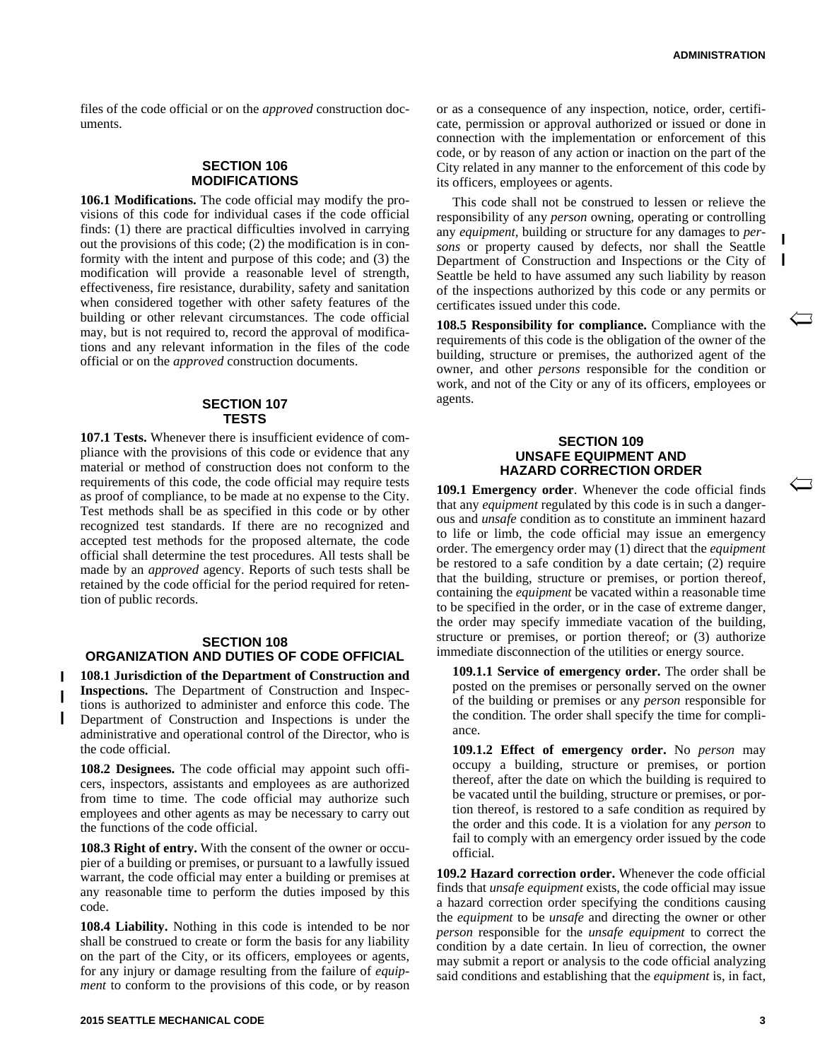$\overline{\smash{\bigtriangleup}}$ 

files of the code official or on the *approved* construction documents.

### **SECTION 106 MODIFICATIONS**

**106.1 Modifications.** The code official may modify the provisions of this code for individual cases if the code official finds: (1) there are practical difficulties involved in carrying out the provisions of this code; (2) the modification is in conformity with the intent and purpose of this code; and (3) the modification will provide a reasonable level of strength, effectiveness, fire resistance, durability, safety and sanitation when considered together with other safety features of the building or other relevant circumstances. The code official may, but is not required to, record the approval of modifications and any relevant information in the files of the code official or on the *approved* construction documents.

#### **SECTION 107 TESTS**

**107.1 Tests.** Whenever there is insufficient evidence of compliance with the provisions of this code or evidence that any material or method of construction does not conform to the requirements of this code, the code official may require tests as proof of compliance, to be made at no expense to the City. Test methods shall be as specified in this code or by other recognized test standards. If there are no recognized and accepted test methods for the proposed alternate, the code official shall determine the test procedures. All tests shall be made by an *approved* agency. Reports of such tests shall be retained by the code official for the period required for retention of public records.

#### **SECTION 108 ORGANIZATION AND DUTIES OF CODE OFFICIAL**

**108.1 Jurisdiction of the Department of Construction and Inspections.** The Department of Construction and Inspections is authorized to administer and enforce this code. The Department of Construction and Inspections is under the administrative and operational control of the Director, who is the code official.

**108.2 Designees.** The code official may appoint such officers, inspectors, assistants and employees as are authorized from time to time. The code official may authorize such employees and other agents as may be necessary to carry out the functions of the code official.

**108.3 Right of entry.** With the consent of the owner or occupier of a building or premises, or pursuant to a lawfully issued warrant, the code official may enter a building or premises at any reasonable time to perform the duties imposed by this code.

**108.4 Liability.** Nothing in this code is intended to be nor shall be construed to create or form the basis for any liability on the part of the City, or its officers, employees or agents, for any injury or damage resulting from the failure of *equipment* to conform to the provisions of this code, or by reason

This code shall not be construed to lessen or relieve the responsibility of any *person* owning, operating or controlling any *equipment,* building or structure for any damages to *persons* or property caused by defects, nor shall the Seattle Department of Construction and Inspections or the City of Seattle be held to have assumed any such liability by reason of the inspections authorized by this code or any permits or certificates issued under this code.

**108.5 Responsibility for compliance.** Compliance with the requirements of this code is the obligation of the owner of the building, structure or premises, the authorized agent of the owner, and other *persons* responsible for the condition or work, and not of the City or any of its officers, employees or agents.

#### **SECTION 109 UNSAFE EQUIPMENT AND HAZARD CORRECTION ORDER**

**109.1 Emergency order**. Whenever the code official finds that any *equipment* regulated by this code is in such a dangerous and *unsafe* condition as to constitute an imminent hazard to life or limb, the code official may issue an emergency order. The emergency order may (1) direct that the *equipment* be restored to a safe condition by a date certain; (2) require that the building, structure or premises, or portion thereof, containing the *equipment* be vacated within a reasonable time to be specified in the order, or in the case of extreme danger, the order may specify immediate vacation of the building, structure or premises, or portion thereof; or (3) authorize immediate disconnection of the utilities or energy source.

**109.1.1 Service of emergency order.** The order shall be posted on the premises or personally served on the owner of the building or premises or any *person* responsible for the condition. The order shall specify the time for compliance.

**109.1.2 Effect of emergency order.** No *person* may occupy a building, structure or premises, or portion thereof, after the date on which the building is required to be vacated until the building, structure or premises, or portion thereof, is restored to a safe condition as required by the order and this code. It is a violation for any *person* to fail to comply with an emergency order issued by the code official.

**109.2 Hazard correction order.** Whenever the code official finds that *unsafe equipment* exists, the code official may issue a hazard correction order specifying the conditions causing the *equipment* to be *unsafe* and directing the owner or other *person* responsible for the *unsafe equipment* to correct the condition by a date certain. In lieu of correction, the owner may submit a report or analysis to the code official analyzing said conditions and establishing that the *equipment* is, in fact,

 $\blacksquare$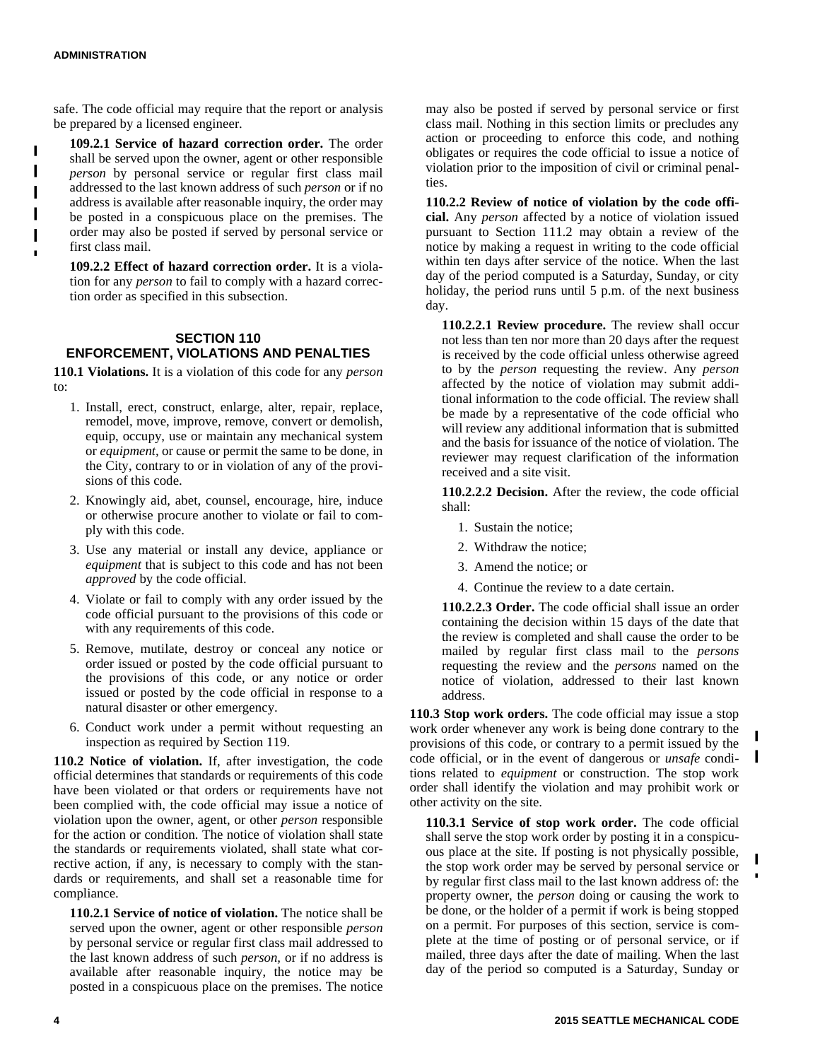П

safe. The code official may require that the report or analysis be prepared by a licensed engineer.

**109.2.1 Service of hazard correction order.** The order shall be served upon the owner, agent or other responsible *person* by personal service or regular first class mail addressed to the last known address of such *person* or if no address is available after reasonable inquiry, the order may be posted in a conspicuous place on the premises. The order may also be posted if served by personal service or first class mail.

**109.2.2 Effect of hazard correction order.** It is a violation for any *person* to fail to comply with a hazard correction order as specified in this subsection.

### **SECTION 110 ENFORCEMENT, VIOLATIONS AND PENALTIES**

**110.1 Violations.** It is a violation of this code for any *person* to:

- 1. Install, erect, construct, enlarge, alter, repair, replace, remodel, move, improve, remove, convert or demolish, equip, occupy, use or maintain any mechanical system or *equipment,* or cause or permit the same to be done, in the City, contrary to or in violation of any of the provisions of this code.
- 2. Knowingly aid, abet, counsel, encourage, hire, induce or otherwise procure another to violate or fail to comply with this code.
- 3. Use any material or install any device, appliance or *equipment* that is subject to this code and has not been *approved* by the code official.
- 4. Violate or fail to comply with any order issued by the code official pursuant to the provisions of this code or with any requirements of this code.
- 5. Remove, mutilate, destroy or conceal any notice or order issued or posted by the code official pursuant to the provisions of this code, or any notice or order issued or posted by the code official in response to a natural disaster or other emergency.
- 6. Conduct work under a permit without requesting an inspection as required by Section 119.

**110.2 Notice of violation.** If, after investigation, the code official determines that standards or requirements of this code have been violated or that orders or requirements have not been complied with, the code official may issue a notice of violation upon the owner, agent, or other *person* responsible for the action or condition. The notice of violation shall state the standards or requirements violated, shall state what corrective action, if any, is necessary to comply with the standards or requirements, and shall set a reasonable time for compliance.

**110.2.1 Service of notice of violation.** The notice shall be served upon the owner, agent or other responsible *person* by personal service or regular first class mail addressed to the last known address of such *person,* or if no address is available after reasonable inquiry, the notice may be posted in a conspicuous place on the premises. The notice

may also be posted if served by personal service or first class mail. Nothing in this section limits or precludes any action or proceeding to enforce this code, and nothing obligates or requires the code official to issue a notice of violation prior to the imposition of civil or criminal penalties.

**110.2.2 Review of notice of violation by the code official.** Any *person* affected by a notice of violation issued pursuant to Section 111.2 may obtain a review of the notice by making a request in writing to the code official within ten days after service of the notice. When the last day of the period computed is a Saturday, Sunday, or city holiday, the period runs until 5 p.m. of the next business day.

**110.2.2.1 Review procedure.** The review shall occur not less than ten nor more than 20 days after the request is received by the code official unless otherwise agreed to by the *person* requesting the review. Any *person* affected by the notice of violation may submit additional information to the code official. The review shall be made by a representative of the code official who will review any additional information that is submitted and the basis for issuance of the notice of violation. The reviewer may request clarification of the information received and a site visit.

**110.2.2.2 Decision.** After the review, the code official shall:

- 1. Sustain the notice;
- 2. Withdraw the notice;
- 3. Amend the notice; or
- 4. Continue the review to a date certain.

**110.2.2.3 Order.** The code official shall issue an order containing the decision within 15 days of the date that the review is completed and shall cause the order to be mailed by regular first class mail to the *persons* requesting the review and the *persons* named on the notice of violation, addressed to their last known address.

**110.3 Stop work orders.** The code official may issue a stop work order whenever any work is being done contrary to the provisions of this code, or contrary to a permit issued by the code official or in the event of dangerous or *unsafe* condicode official, or in the event of dangerous or *unsafe* conditions related to *equipment* or construction. The stop work order shall identify the violation and may prohibit work or other activity on the site.

**110.3.1 Service of stop work order.** The code official shall serve the stop work order by posting it in a conspicuous place at the site. If posting is not physically possible, the stop work order may be served by personal service or by regular first class mail to the last known address of: the property owner, the *person* doing or causing the work to be done, or the holder of a permit if work is being stopped on a permit. For purposes of this section, service is complete at the time of posting or of personal service, or if mailed, three days after the date of mailing. When the last day of the period so computed is a Saturday, Sunday or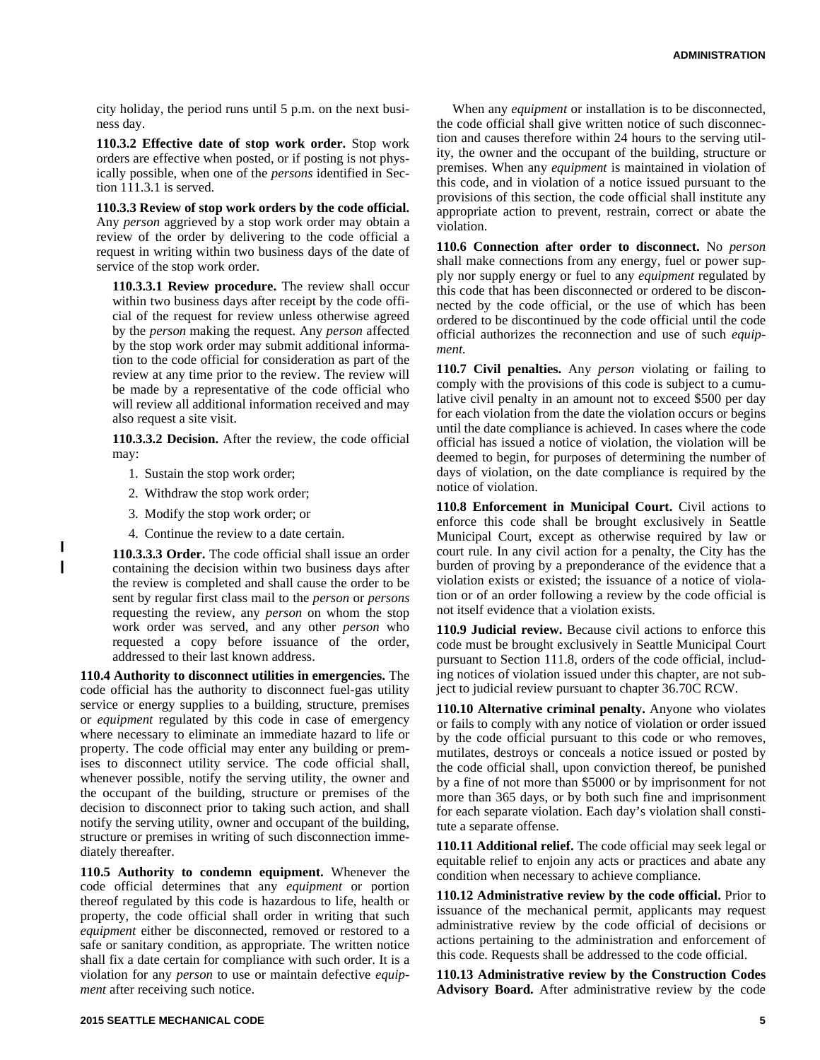city holiday, the period runs until 5 p.m. on the next business day.

**110.3.2 Effective date of stop work order.** Stop work orders are effective when posted, or if posting is not physically possible, when one of the *persons* identified in Section 111.3.1 is served.

**110.3.3 Review of stop work orders by the code official.** Any *person* aggrieved by a stop work order may obtain a review of the order by delivering to the code official a request in writing within two business days of the date of service of the stop work order.

**110.3.3.1 Review procedure.** The review shall occur within two business days after receipt by the code official of the request for review unless otherwise agreed by the *person* making the request. Any *person* affected by the stop work order may submit additional information to the code official for consideration as part of the review at any time prior to the review. The review will be made by a representative of the code official who will review all additional information received and may also request a site visit.

**110.3.3.2 Decision.** After the review, the code official may:

- 1. Sustain the stop work order;
- 2. Withdraw the stop work order;
- 3. Modify the stop work order; or
- 4. Continue the review to a date certain.

**110.3.3.3 Order.** The code official shall issue an order containing the decision within two business days after the review is completed and shall cause the order to be sent by regular first class mail to the *person* or *persons* requesting the review, any *person* on whom the stop work order was served, and any other *person* who requested a copy before issuance of the order, addressed to their last known address.

**110.4 Authority to disconnect utilities in emergencies.** The code official has the authority to disconnect fuel-gas utility service or energy supplies to a building, structure, premises or *equipment* regulated by this code in case of emergency where necessary to eliminate an immediate hazard to life or property. The code official may enter any building or premises to disconnect utility service. The code official shall, whenever possible, notify the serving utility, the owner and the occupant of the building, structure or premises of the decision to disconnect prior to taking such action, and shall notify the serving utility, owner and occupant of the building, structure or premises in writing of such disconnection immediately thereafter.

**110.5 Authority to condemn equipment.** Whenever the code official determines that any *equipment* or portion thereof regulated by this code is hazardous to life, health or property, the code official shall order in writing that such *equipment* either be disconnected, removed or restored to a safe or sanitary condition, as appropriate. The written notice shall fix a date certain for compliance with such order. It is a violation for any *person* to use or maintain defective *equipment* after receiving such notice.

When any *equipment* or installation is to be disconnected, the code official shall give written notice of such disconnection and causes therefore within 24 hours to the serving utility, the owner and the occupant of the building, structure or premises. When any *equipment* is maintained in violation of this code, and in violation of a notice issued pursuant to the provisions of this section, the code official shall institute any appropriate action to prevent, restrain, correct or abate the violation.

**110.6 Connection after order to disconnect.** No *person* shall make connections from any energy, fuel or power supply nor supply energy or fuel to any *equipment* regulated by this code that has been disconnected or ordered to be disconnected by the code official, or the use of which has been ordered to be discontinued by the code official until the code official authorizes the reconnection and use of such *equipment.*

**110.7 Civil penalties.** Any *person* violating or failing to comply with the provisions of this code is subject to a cumulative civil penalty in an amount not to exceed \$500 per day for each violation from the date the violation occurs or begins until the date compliance is achieved. In cases where the code official has issued a notice of violation, the violation will be deemed to begin, for purposes of determining the number of days of violation, on the date compliance is required by the notice of violation.

**110.8 Enforcement in Municipal Court.** Civil actions to enforce this code shall be brought exclusively in Seattle Municipal Court, except as otherwise required by law or court rule. In any civil action for a penalty, the City has the burden of proving by a preponderance of the evidence that a violation exists or existed; the issuance of a notice of violation or of an order following a review by the code official is not itself evidence that a violation exists.

**110.9 Judicial review.** Because civil actions to enforce this code must be brought exclusively in Seattle Municipal Court pursuant to Section 111.8, orders of the code official, including notices of violation issued under this chapter, are not subject to judicial review pursuant to chapter 36.70C RCW.

**110.10 Alternative criminal penalty.** Anyone who violates or fails to comply with any notice of violation or order issued by the code official pursuant to this code or who removes, mutilates, destroys or conceals a notice issued or posted by the code official shall, upon conviction thereof, be punished by a fine of not more than \$5000 or by imprisonment for not more than 365 days, or by both such fine and imprisonment for each separate violation. Each day's violation shall constitute a separate offense.

**110.11 Additional relief.** The code official may seek legal or equitable relief to enjoin any acts or practices and abate any condition when necessary to achieve compliance.

**110.12 Administrative review by the code official.** Prior to issuance of the mechanical permit, applicants may request administrative review by the code official of decisions or actions pertaining to the administration and enforcement of this code. Requests shall be addressed to the code official.

**110.13 Administrative review by the Construction Codes Advisory Board.** After administrative review by the code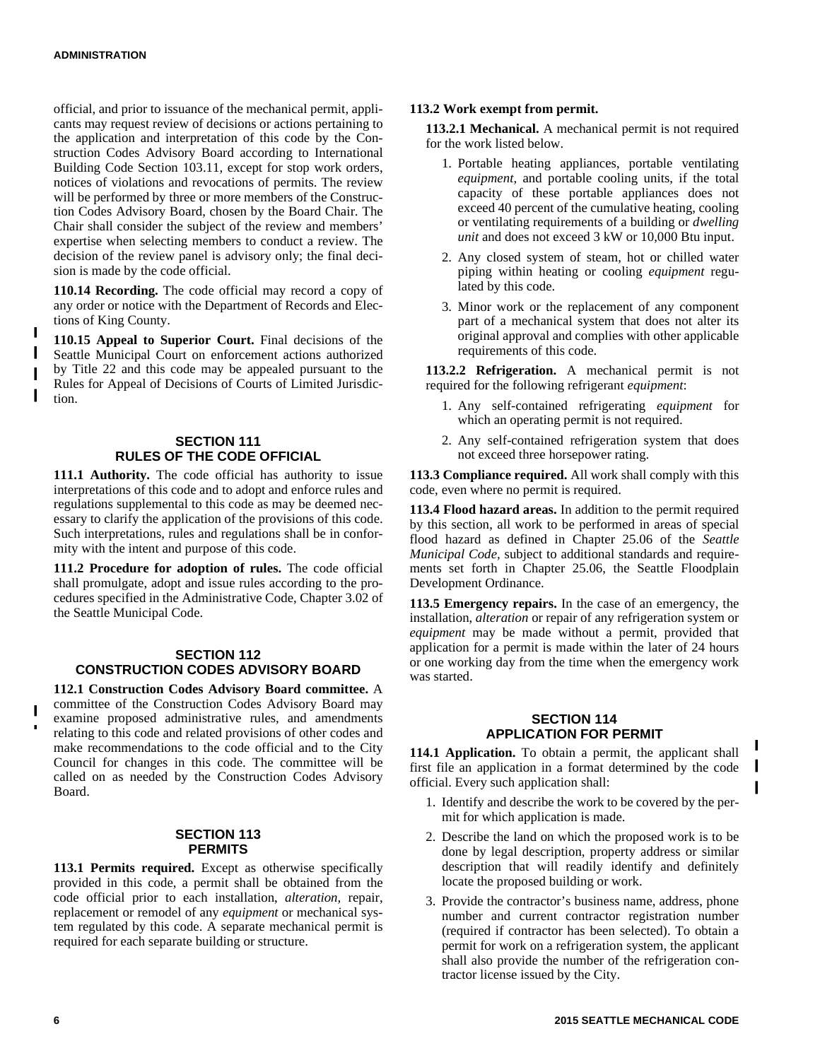official, and prior to issuance of the mechanical permit, applicants may request review of decisions or actions pertaining to the application and interpretation of this code by the Construction Codes Advisory Board according to International Building Code Section 103.11, except for stop work orders, notices of violations and revocations of permits. The review will be performed by three or more members of the Construction Codes Advisory Board, chosen by the Board Chair. The Chair shall consider the subject of the review and members' expertise when selecting members to conduct a review. The decision of the review panel is advisory only; the final decision is made by the code official.

**110.14 Recording.** The code official may record a copy of any order or notice with the Department of Records and Elections of King County.

**110.15 Appeal to Superior Court.** Final decisions of the Seattle Municipal Court on enforcement actions authorized by Title 22 and this code may be appealed pursuant to the Rules for Appeal of Decisions of Courts of Limited Jurisdiction.

### **SECTION 111 RULES OF THE CODE OFFICIAL**

**111.1 Authority.** The code official has authority to issue interpretations of this code and to adopt and enforce rules and regulations supplemental to this code as may be deemed necessary to clarify the application of the provisions of this code. Such interpretations, rules and regulations shall be in conformity with the intent and purpose of this code.

**111.2 Procedure for adoption of rules.** The code official shall promulgate, adopt and issue rules according to the procedures specified in the Administrative Code, Chapter 3.02 of the Seattle Municipal Code.

### **SECTION 112 CONSTRUCTION CODES ADVISORY BOARD**

**112.1 Construction Codes Advisory Board committee.** A committee of the Construction Codes Advisory Board may examine proposed administrative rules, and amendments relating to this code and related provisions of other codes and make recommendations to the code official and to the City Council for changes in this code. The committee will be called on as needed by the Construction Codes Advisory Board.

### **SECTION 113 PERMITS**

**113.1 Permits required.** Except as otherwise specifically provided in this code, a permit shall be obtained from the code official prior to each installation, *alteration,* repair, replacement or remodel of any *equipment* or mechanical system regulated by this code. A separate mechanical permit is required for each separate building or structure.

#### **113.2 Work exempt from permit.**

**113.2.1 Mechanical.** A mechanical permit is not required for the work listed below.

- 1. Portable heating appliances, portable ventilating *equipment,* and portable cooling units, if the total capacity of these portable appliances does not exceed 40 percent of the cumulative heating, cooling or ventilating requirements of a building or *dwelling unit* and does not exceed 3 kW or 10,000 Btu input.
- 2. Any closed system of steam, hot or chilled water piping within heating or cooling *equipment* regulated by this code.
- 3. Minor work or the replacement of any component part of a mechanical system that does not alter its original approval and complies with other applicable requirements of this code.

**113.2.2 Refrigeration.** A mechanical permit is not required for the following refrigerant *equipment*:

- 1. Any self-contained refrigerating *equipment* for which an operating permit is not required.
- 2. Any self-contained refrigeration system that does not exceed three horsepower rating.

**113.3 Compliance required.** All work shall comply with this code, even where no permit is required.

**113.4 Flood hazard areas.** In addition to the permit required by this section, all work to be performed in areas of special flood hazard as defined in Chapter 25.06 of the *Seattle Municipal Code,* subject to additional standards and requirements set forth in Chapter 25.06, the Seattle Floodplain Development Ordinance.

**113.5 Emergency repairs.** In the case of an emergency, the installation, *alteration* or repair of any refrigeration system or *equipment* may be made without a permit, provided that application for a permit is made within the later of 24 hours or one working day from the time when the emergency work was started.

#### **SECTION 114 APPLICATION FOR PERMIT**

**114.1 Application.** To obtain a permit, the applicant shall first file an application in a format determined by the code official. Every such application shall:

- 1. Identify and describe the work to be covered by the permit for which application is made.
- 2. Describe the land on which the proposed work is to be done by legal description, property address or similar description that will readily identify and definitely locate the proposed building or work.
- 3. Provide the contractor's business name, address, phone number and current contractor registration number (required if contractor has been selected). To obtain a permit for work on a refrigeration system, the applicant shall also provide the number of the refrigeration contractor license issued by the City.

 $\mathbf{I}$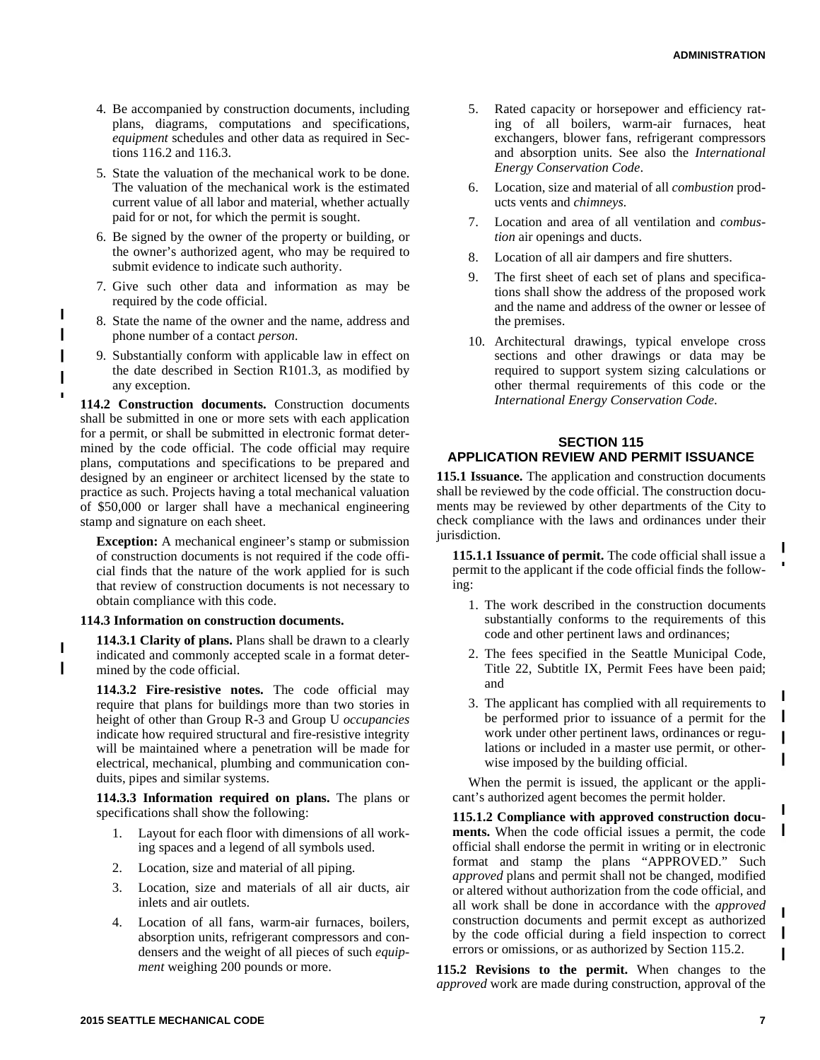- 4. Be accompanied by construction documents, including plans, diagrams, computations and specifications, *equipment* schedules and other data as required in Sections 116.2 and 116.3.
- 5. State the valuation of the mechanical work to be done. The valuation of the mechanical work is the estimated current value of all labor and material, whether actually paid for or not, for which the permit is sought.
- 6. Be signed by the owner of the property or building, or the owner's authorized agent, who may be required to submit evidence to indicate such authority.
- 7. Give such other data and information as may be required by the code official.
- 8. State the name of the owner and the name, address and phone number of a contact *person.*
- 9. Substantially conform with applicable law in effect on the date described in Section R101.3, as modified by any exception.

**114.2 Construction documents.** Construction documents shall be submitted in one or more sets with each application for a permit, or shall be submitted in electronic format determined by the code official. The code official may require plans, computations and specifications to be prepared and designed by an engineer or architect licensed by the state to practice as such. Projects having a total mechanical valuation of \$50,000 or larger shall have a mechanical engineering stamp and signature on each sheet.

**Exception:** A mechanical engineer's stamp or submission of construction documents is not required if the code official finds that the nature of the work applied for is such that review of construction documents is not necessary to obtain compliance with this code.

#### **114.3 Information on construction documents.**

**114.3.1 Clarity of plans.** Plans shall be drawn to a clearly indicated and commonly accepted scale in a format determined by the code official.

**114.3.2 Fire-resistive notes.** The code official may require that plans for buildings more than two stories in height of other than Group R-3 and Group U *occupancies* indicate how required structural and fire-resistive integrity will be maintained where a penetration will be made for electrical, mechanical, plumbing and communication conduits, pipes and similar systems.

**114.3.3 Information required on plans.** The plans or specifications shall show the following:

- 1. Layout for each floor with dimensions of all working spaces and a legend of all symbols used.
- 2. Location, size and material of all piping.
- 3. Location, size and materials of all air ducts, air inlets and air outlets.
- 4. Location of all fans, warm-air furnaces, boilers, absorption units, refrigerant compressors and condensers and the weight of all pieces of such *equipment* weighing 200 pounds or more.
- 5. Rated capacity or horsepower and efficiency rating of all boilers, warm-air furnaces, heat exchangers, blower fans, refrigerant compressors and absorption units. See also the *International Energy Conservation Code*.
- 6. Location, size and material of all *combustion* products vents and *chimneys.*
- 7. Location and area of all ventilation and *combustion* air openings and ducts.
- 8. Location of all air dampers and fire shutters.
- 9. The first sheet of each set of plans and specifications shall show the address of the proposed work and the name and address of the owner or lessee of the premises.
- 10. Architectural drawings, typical envelope cross sections and other drawings or data may be required to support system sizing calculations or other thermal requirements of this code or the *International Energy Conservation Code*.

### **SECTION 115 APPLICATION REVIEW AND PERMIT ISSUANCE**

**115.1 Issuance.** The application and construction documents shall be reviewed by the code official. The construction documents may be reviewed by other departments of the City to check compliance with the laws and ordinances under their jurisdiction.

**115.1.1 Issuance of permit.** The code official shall issue a permit to the applicant if the code official finds the following:

- 1. The work described in the construction documents substantially conforms to the requirements of this code and other pertinent laws and ordinances;
- 2. The fees specified in the Seattle Municipal Code, Title 22, Subtitle IX, Permit Fees have been paid; and
- 3. The applicant has complied with all requirements to be performed prior to issuance of a permit for the work under other pertinent laws, ordinances or regulations or included in a master use permit, or otherwise imposed by the building official.

When the permit is issued, the applicant or the applicant's authorized agent becomes the permit holder.

**115.1.2 Compliance with approved construction documents.** When the code official issues a permit, the code official shall endorse the permit in writing or in electronic format and stamp the plans "APPROVED." Such *approved* plans and permit shall not be changed, modified or altered without authorization from the code official, and all work shall be done in accordance with the *approved* construction documents and permit except as authorized by the code official during a field inspection to correct errors or omissions, or as authorized by Section 115.2.

**115.2 Revisions to the permit.** When changes to the *approved* work are made during construction, approval of the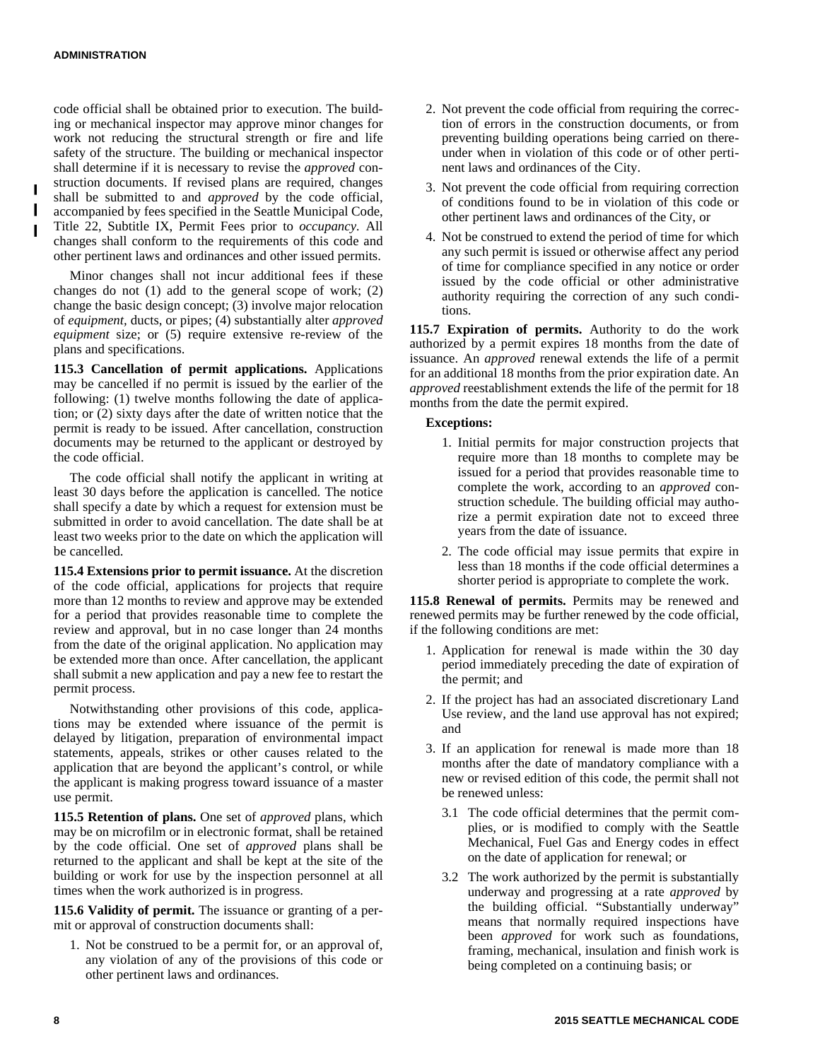code official shall be obtained prior to execution. The building or mechanical inspector may approve minor changes for work not reducing the structural strength or fire and life safety of the structure. The building or mechanical inspector shall determine if it is necessary to revise the *approved* construction documents. If revised plans are required, changes shall be submitted to and *approved* by the code official, accompanied by fees specified in the Seattle Municipal Code, Title 22, Subtitle IX, Permit Fees prior to *occupancy.* All changes shall conform to the requirements of this code and other pertinent laws and ordinances and other issued permits.

Minor changes shall not incur additional fees if these changes do not (1) add to the general scope of work; (2) change the basic design concept; (3) involve major relocation of *equipment,* ducts, or pipes; (4) substantially alter *approved equipment* size; or (5) require extensive re-review of the plans and specifications.

**115.3 Cancellation of permit applications.** Applications may be cancelled if no permit is issued by the earlier of the following: (1) twelve months following the date of application; or (2) sixty days after the date of written notice that the permit is ready to be issued. After cancellation, construction documents may be returned to the applicant or destroyed by the code official.

The code official shall notify the applicant in writing at least 30 days before the application is cancelled. The notice shall specify a date by which a request for extension must be submitted in order to avoid cancellation. The date shall be at least two weeks prior to the date on which the application will be cancelled.

**115.4 Extensions prior to permit issuance.** At the discretion of the code official, applications for projects that require more than 12 months to review and approve may be extended for a period that provides reasonable time to complete the review and approval, but in no case longer than 24 months from the date of the original application. No application may be extended more than once. After cancellation, the applicant shall submit a new application and pay a new fee to restart the permit process.

Notwithstanding other provisions of this code, applications may be extended where issuance of the permit is delayed by litigation, preparation of environmental impact statements, appeals, strikes or other causes related to the application that are beyond the applicant's control, or while the applicant is making progress toward issuance of a master use permit.

**115.5 Retention of plans.** One set of *approved* plans, which may be on microfilm or in electronic format, shall be retained by the code official. One set of *approved* plans shall be returned to the applicant and shall be kept at the site of the building or work for use by the inspection personnel at all times when the work authorized is in progress.

**115.6 Validity of permit.** The issuance or granting of a permit or approval of construction documents shall:

1. Not be construed to be a permit for, or an approval of, any violation of any of the provisions of this code or other pertinent laws and ordinances.

- 2. Not prevent the code official from requiring the correction of errors in the construction documents, or from preventing building operations being carried on thereunder when in violation of this code or of other pertinent laws and ordinances of the City.
- 3. Not prevent the code official from requiring correction of conditions found to be in violation of this code or other pertinent laws and ordinances of the City, or
- 4. Not be construed to extend the period of time for which any such permit is issued or otherwise affect any period of time for compliance specified in any notice or order issued by the code official or other administrative authority requiring the correction of any such conditions.

**115.7 Expiration of permits.** Authority to do the work authorized by a permit expires 18 months from the date of issuance. An *approved* renewal extends the life of a permit for an additional 18 months from the prior expiration date. An *approved* reestablishment extends the life of the permit for 18 months from the date the permit expired.

### **Exceptions:**

- 1. Initial permits for major construction projects that require more than 18 months to complete may be issued for a period that provides reasonable time to complete the work, according to an *approved* construction schedule. The building official may authorize a permit expiration date not to exceed three years from the date of issuance.
- 2. The code official may issue permits that expire in less than 18 months if the code official determines a shorter period is appropriate to complete the work.

**115.8 Renewal of permits.** Permits may be renewed and renewed permits may be further renewed by the code official, if the following conditions are met:

- 1. Application for renewal is made within the 30 day period immediately preceding the date of expiration of the permit; and
- 2. If the project has had an associated discretionary Land Use review, and the land use approval has not expired; and
- 3. If an application for renewal is made more than 18 months after the date of mandatory compliance with a new or revised edition of this code, the permit shall not be renewed unless:
	- 3.1 The code official determines that the permit complies, or is modified to comply with the Seattle Mechanical, Fuel Gas and Energy codes in effect on the date of application for renewal; or
	- 3.2 The work authorized by the permit is substantially underway and progressing at a rate *approved* by the building official. "Substantially underway" means that normally required inspections have been *approved* for work such as foundations, framing, mechanical, insulation and finish work is being completed on a continuing basis; or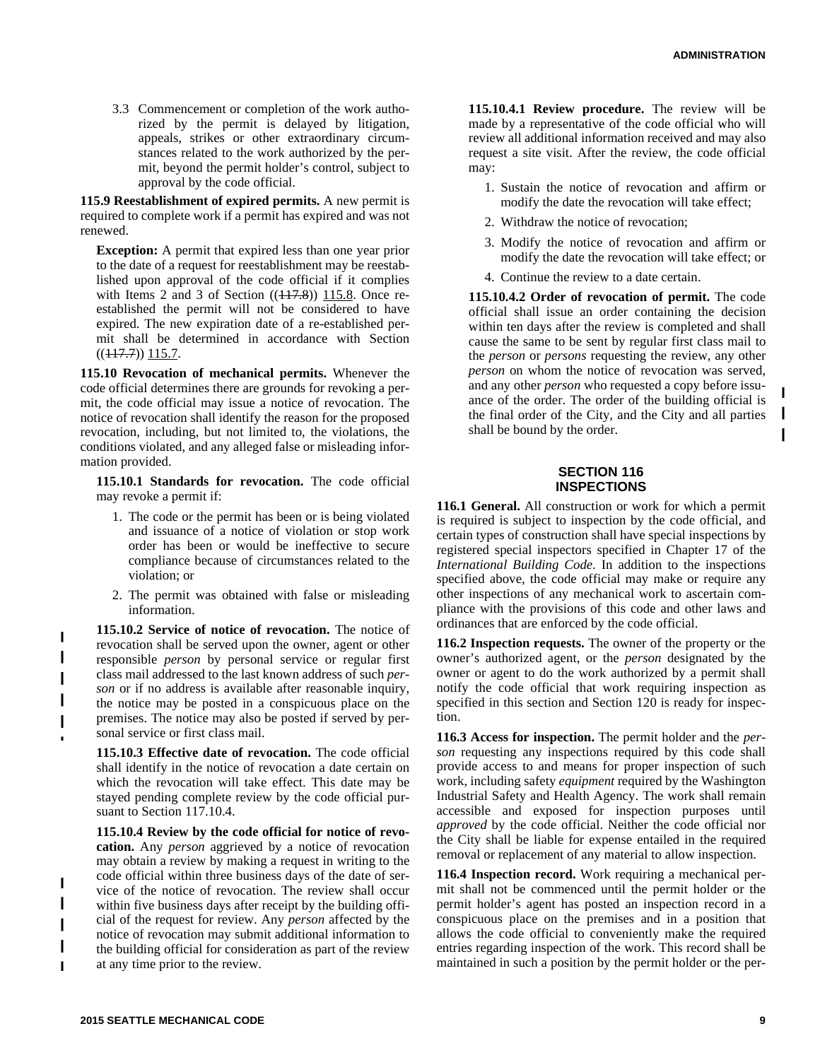3.3 Commencement or completion of the work authorized by the permit is delayed by litigation, appeals, strikes or other extraordinary circumstances related to the work authorized by the permit, beyond the permit holder's control, subject to approval by the code official.

**115.9 Reestablishment of expired permits.** A new permit is required to complete work if a permit has expired and was not renewed.

**Exception:** A permit that expired less than one year prior to the date of a request for reestablishment may be reestablished upon approval of the code official if it complies with Items 2 and 3 of Section  $((117.8))$  115.8. Once reestablished the permit will not be considered to have expired. The new expiration date of a re-established permit shall be determined in accordance with Section  $((117.7))$  115.7.

**115.10 Revocation of mechanical permits.** Whenever the code official determines there are grounds for revoking a permit, the code official may issue a notice of revocation. The notice of revocation shall identify the reason for the proposed revocation, including, but not limited to, the violations, the conditions violated, and any alleged false or misleading information provided.

**115.10.1 Standards for revocation.** The code official may revoke a permit if:

- 1. The code or the permit has been or is being violated and issuance of a notice of violation or stop work order has been or would be ineffective to secure compliance because of circumstances related to the violation; or
- 2. The permit was obtained with false or misleading information.

**115.10.2 Service of notice of revocation.** The notice of revocation shall be served upon the owner, agent or other responsible *person* by personal service or regular first class mail addressed to the last known address of such *person* or if no address is available after reasonable inquiry, the notice may be posted in a conspicuous place on the premises. The notice may also be posted if served by personal service or first class mail.

**115.10.3 Effective date of revocation.** The code official shall identify in the notice of revocation a date certain on which the revocation will take effect. This date may be stayed pending complete review by the code official pursuant to Section 117.10.4.

**115.10.4 Review by the code official for notice of revocation.** Any *person* aggrieved by a notice of revocation may obtain a review by making a request in writing to the code official within three business days of the date of service of the notice of revocation. The review shall occur within five business days after receipt by the building official of the request for review. Any *person* affected by the notice of revocation may submit additional information to the building official for consideration as part of the review at any time prior to the review.

**115.10.4.1 Review procedure.** The review will be made by a representative of the code official who will review all additional information received and may also request a site visit. After the review, the code official may:

- 1. Sustain the notice of revocation and affirm or modify the date the revocation will take effect;
- 2. Withdraw the notice of revocation;
- 3. Modify the notice of revocation and affirm or modify the date the revocation will take effect; or
- 4. Continue the review to a date certain.

**115.10.4.2 Order of revocation of permit.** The code official shall issue an order containing the decision within ten days after the review is completed and shall cause the same to be sent by regular first class mail to the *person* or *persons* requesting the review, any other *person* on whom the notice of revocation was served, and any other *person* who requested a copy before issuance of the order. The order of the building official is the final order of the City, and the City and all parties shall be bound by the order.

#### **SECTION 116 INSPECTIONS**

**116.1 General.** All construction or work for which a permit is required is subject to inspection by the code official, and certain types of construction shall have special inspections by registered special inspectors specified in Chapter 17 of the *International Building Code*. In addition to the inspections specified above, the code official may make or require any other inspections of any mechanical work to ascertain compliance with the provisions of this code and other laws and ordinances that are enforced by the code official.

**116.2 Inspection requests.** The owner of the property or the owner's authorized agent, or the *person* designated by the owner or agent to do the work authorized by a permit shall notify the code official that work requiring inspection as specified in this section and Section 120 is ready for inspection.

**116.3 Access for inspection.** The permit holder and the *person* requesting any inspections required by this code shall provide access to and means for proper inspection of such work, including safety *equipment* required by the Washington Industrial Safety and Health Agency. The work shall remain accessible and exposed for inspection purposes until *approved* by the code official. Neither the code official nor the City shall be liable for expense entailed in the required removal or replacement of any material to allow inspection.

**116.4 Inspection record.** Work requiring a mechanical permit shall not be commenced until the permit holder or the permit holder's agent has posted an inspection record in a conspicuous place on the premises and in a position that allows the code official to conveniently make the required entries regarding inspection of the work. This record shall be maintained in such a position by the permit holder or the per